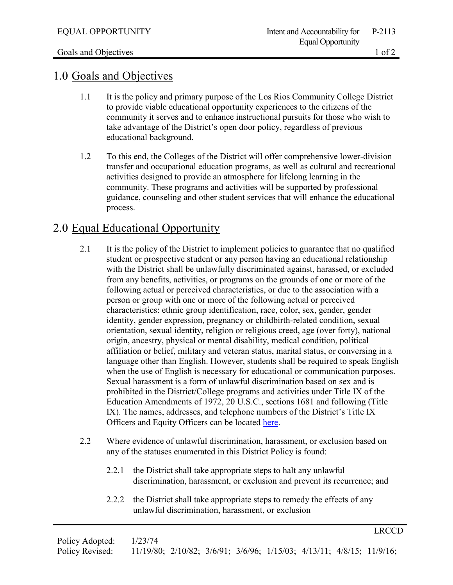LRCCD

## 1.0 Goals and Objectives

- 1.1 It is the policy and primary purpose of the Los Rios Community College District to provide viable educational opportunity experiences to the citizens of the community it serves and to enhance instructional pursuits for those who wish to take advantage of the District's open door policy, regardless of previous educational background.
- 1.2 To this end, the Colleges of the District will offer comprehensive lower-division transfer and occupational education programs, as well as cultural and recreational activities designed to provide an atmosphere for lifelong learning in the community. These programs and activities will be supported by professional guidance, counseling and other student services that will enhance the educational process.

## 2.0 Equal Educational Opportunity

- 2.1 It is the policy of the District to implement policies to guarantee that no qualified student or prospective student or any person having an educational relationship with the District shall be unlawfully discriminated against, harassed, or excluded from any benefits, activities, or programs on the grounds of one or more of the following actual or perceived characteristics, or due to the association with a person or group with one or more of the following actual or perceived characteristics: ethnic group identification, race, color, sex, gender, gender identity, gender expression, pregnancy or childbirth-related condition, sexual orientation, sexual identity, religion or religious creed, age (over forty), national origin, ancestry, physical or mental disability, medical condition, political affiliation or belief, military and veteran status, marital status, or conversing in a language other than English. However, students shall be required to speak English when the use of English is necessary for educational or communication purposes. Sexual harassment is a form of unlawful discrimination based on sex and is prohibited in the District/College programs and activities under Title IX of the Education Amendments of 1972, 20 U.S.C., sections 1681 and following (Title IX). The names, addresses, and telephone numbers of the District's Title IX Officers and Equity Officers can be located [here.](https://losrios.edu/about-us/our-values/equity-and-diversity/compliance-officers)
- 2.2 Where evidence of unlawful discrimination, harassment, or exclusion based on any of the statuses enumerated in this District Policy is found:
	- 2.2.1 the District shall take appropriate steps to halt any unlawful discrimination, harassment, or exclusion and prevent its recurrence; and
	- 2.2.2 the District shall take appropriate steps to remedy the effects of any unlawful discrimination, harassment, or exclusion